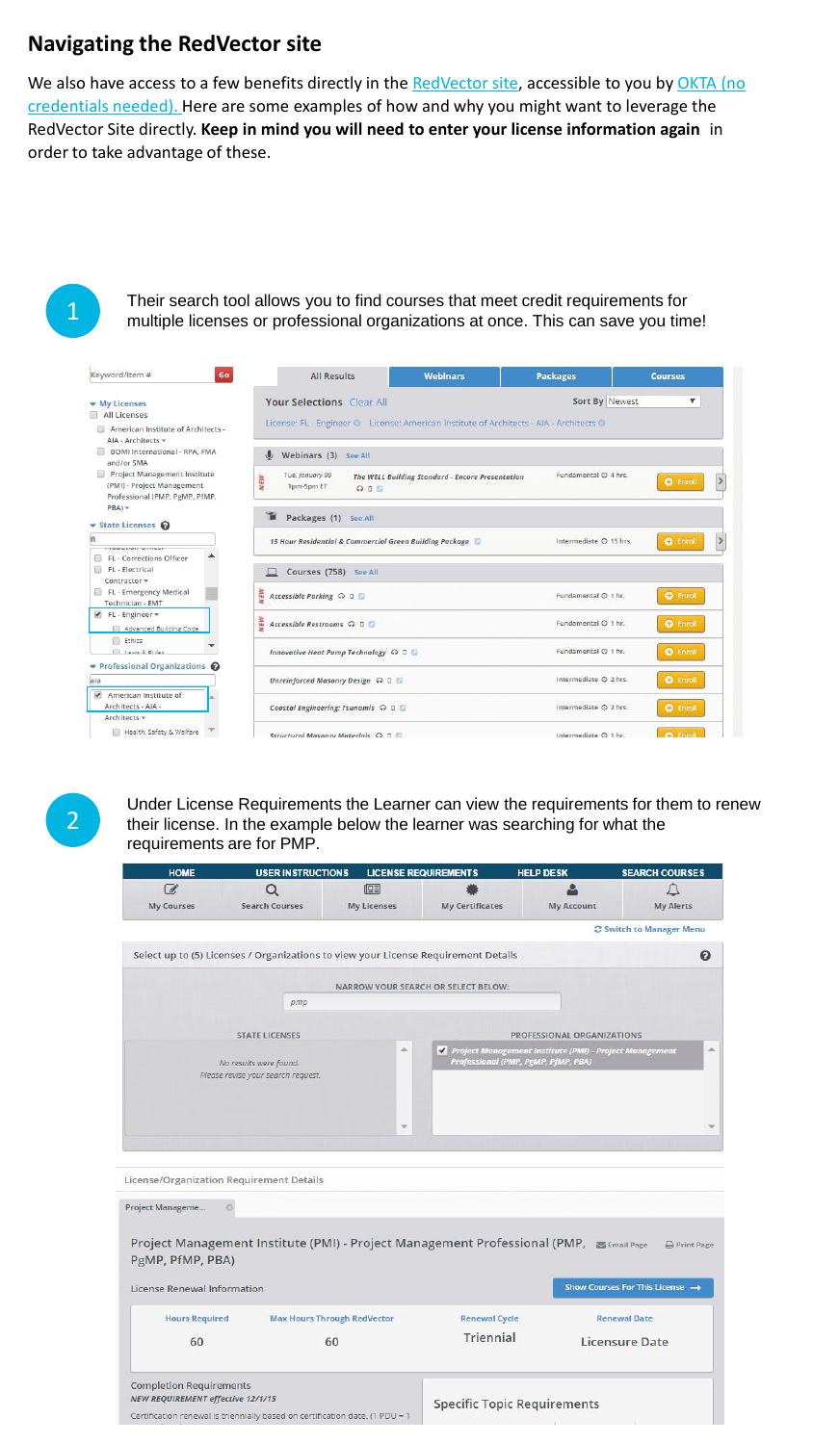## **Navigating the RedVector site**

We also have access to a few benefits directly in the [RedVector site](https://sso2.redvector.com/adfs/AECOM), accessible to you by OKTA (no credentials needed). Here are some examples of how and why you might want to leverage the RedVector Site directly. **Keep in mind you will need to enter your license information again** in order to take advantage of these.



Their search tool allows you to find courses that meet credit requirements for multiple licenses or professional organizations at once. This can save you time!

| Keyword/Item #<br>Go                                                                             | <b>All Results</b>                                                                                                                               | <b>Webinars</b>         | <b>Packages</b>  | <b>Courses</b> |  |  |
|--------------------------------------------------------------------------------------------------|--------------------------------------------------------------------------------------------------------------------------------------------------|-------------------------|------------------|----------------|--|--|
| <b>W</b> My Licenses<br>All Licenses<br>American Institute of Architects -<br>AIA - Architects - | Sort By Newest<br>۷.<br>Your Selections Clear All<br>License: FL - Engineer C License: American Institute of Architects - AIA - Architects C     |                         |                  |                |  |  |
| BOMI International - RPA, FMA<br>and/or SMA                                                      | Webinars (3) See All                                                                                                                             |                         |                  |                |  |  |
| Project Management Institute<br>(PMI) - Project Management<br>Professional (PMP, PgMP, PfMP,     | Fundamental @ 4 hrs.<br>Tue, January 09<br><b>NEW</b><br>The WELL Building Standard - Encore Presentation<br><b>O</b> Enroll<br>1pm-5pm ET<br>QQ |                         |                  |                |  |  |
| $PBA)$ $\star$<br>State Licenses                                                                 | Packages (1) See All                                                                                                                             |                         |                  |                |  |  |
| <b>TREPERED STREET</b><br>FL - Corrections Officer                                               | <b>O</b> Enroll<br>Intermediate @ 15 hrs.<br>15 Hour Residential & Commercial Green Building Package                                             |                         |                  |                |  |  |
| FL - Electrical<br>Contractor =                                                                  | Courses (758) See All<br>$\Box$                                                                                                                  |                         |                  |                |  |  |
| FL - Emergency Medical<br>Technician - EMT                                                       | WEW<br>Accessible Parking ↔ □                                                                                                                    | Fundamental @ 1 hr.     | <b>O</b> Enroll  |                |  |  |
| √ FL - Engineer -<br>Advanced Building Code                                                      | WEW<br>Accessible Restrooms Q D                                                                                                                  | Fundamental @ 1 hr.     | <b>O</b> Enroll  |                |  |  |
| <b>Ethics</b><br><b>Ell</b> Lawe 8, Pulae                                                        | Innovative Heat Pump Technology Q D D                                                                                                            | Fundamental @ 1 hr.     | <b>O</b> Enroll  |                |  |  |
| ▼ Professional Organizations ●<br>laia                                                           | Unreinforced Masonry Design Q D D                                                                                                                | Intermediate @ 2 hrs.   | <b>O</b> Enroll  |                |  |  |
| $\overline{\mathcal{L}}$<br>American Institute of<br>Architects - AIA -                          | Coastal Engineering: Tsunamis Q D D                                                                                                              | Intermediate $O$ 2 hrs. | <b>O</b> Enroll  |                |  |  |
| Architects =<br>Health, Safety & Welfare                                                         | Structural Masonry Materials Q D E                                                                                                               | Intermediate @ 1 hr.    | <b>C</b> Friroll |                |  |  |

2

Under License Requirements the Learner can view the requirements for them to renew their license. In the example below the learner was searching for what the requirements are for PMP.

| HUME                              | <b>USER INSTRUCTIONS</b>                                                               |                    | <b>LICENSE REQUIREMENTS</b>         | HELP DESN                                                                                      | <b>SEARCH COURSES</b>           |
|-----------------------------------|----------------------------------------------------------------------------------------|--------------------|-------------------------------------|------------------------------------------------------------------------------------------------|---------------------------------|
| F.                                | $\circ$                                                                                | 回                  |                                     |                                                                                                |                                 |
| <b>My Courses</b>                 | <b>Search Courses</b>                                                                  | <b>My Licenses</b> | <b>My Certificates</b>              | <b>My Account</b>                                                                              | <b>My Alerts</b>                |
|                                   |                                                                                        |                    |                                     |                                                                                                | C Switch to Manager Menu        |
|                                   | Select up to (5) Licenses / Organizations to view your License Requirement Details     |                    |                                     |                                                                                                | 0                               |
|                                   |                                                                                        |                    |                                     |                                                                                                |                                 |
|                                   |                                                                                        |                    | NARROW YOUR SEARCH OR SELECT BELOW: |                                                                                                |                                 |
|                                   | pmp                                                                                    |                    |                                     |                                                                                                |                                 |
|                                   |                                                                                        |                    |                                     | PROFESSIONAL ORGANIZATIONS                                                                     |                                 |
|                                   | <b>STATE LICENSES</b>                                                                  |                    |                                     |                                                                                                | ۸                               |
|                                   | No results were found.                                                                 |                    |                                     | Project Management Institute (PMI) - Project Management<br>Professional (PMP, PgMP, PfMP, PBA) |                                 |
|                                   | Please revise your search request.                                                     |                    |                                     |                                                                                                |                                 |
|                                   |                                                                                        |                    |                                     |                                                                                                |                                 |
|                                   |                                                                                        |                    |                                     |                                                                                                |                                 |
|                                   |                                                                                        |                    |                                     |                                                                                                |                                 |
|                                   |                                                                                        |                    |                                     |                                                                                                |                                 |
|                                   |                                                                                        |                    |                                     |                                                                                                |                                 |
|                                   |                                                                                        |                    |                                     |                                                                                                |                                 |
|                                   | License/Organization Requirement Details                                               |                    |                                     |                                                                                                |                                 |
| Project Manageme                  | o                                                                                      |                    |                                     |                                                                                                |                                 |
|                                   |                                                                                        |                    |                                     |                                                                                                |                                 |
|                                   | Project Management Institute (PMI) - Project Management Professional (PMP, SEmail Page |                    |                                     |                                                                                                | Print Page                      |
| PgMP, PfMP, PBA)                  |                                                                                        |                    |                                     |                                                                                                |                                 |
|                                   |                                                                                        |                    |                                     |                                                                                                |                                 |
| License Renewal Information       |                                                                                        |                    |                                     |                                                                                                | Show Courses For This License → |
|                                   |                                                                                        |                    |                                     |                                                                                                |                                 |
| <b>Hours Required</b>             | <b>Max Hours Through RedVector</b>                                                     |                    | <b>Renewal Cycle</b>                |                                                                                                | <b>Renewal Date</b>             |
| 60                                | 60                                                                                     |                    | Triennial                           |                                                                                                | Licensure Date                  |
|                                   |                                                                                        |                    |                                     |                                                                                                |                                 |
| <b>Completion Requirements</b>    |                                                                                        |                    |                                     |                                                                                                |                                 |
| NEW REQUIREMENT effective 12/1/15 |                                                                                        |                    | <b>Specific Topic Requirements</b>  |                                                                                                |                                 |
|                                   | Certification renewal is triennially based on certification date. (1 PDU = 1           |                    |                                     |                                                                                                |                                 |
|                                   |                                                                                        |                    |                                     |                                                                                                |                                 |